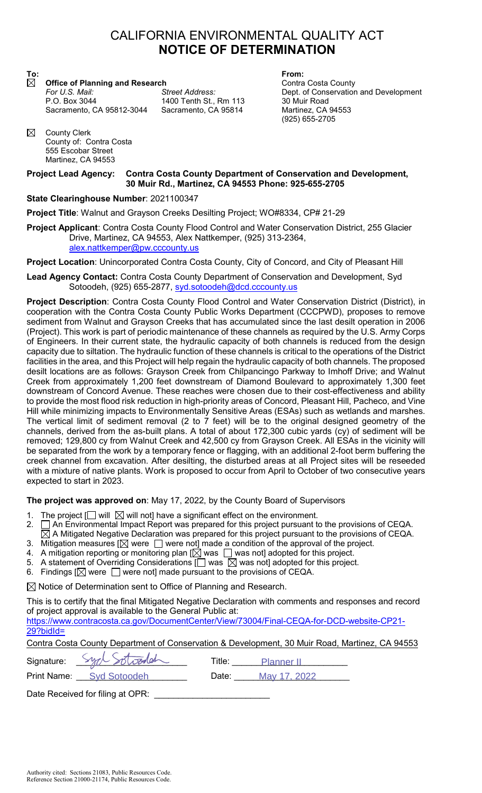## CALIFORNIA ENVIRONMENTAL QUALITY ACT **NOTICE OF DETERMINATION**

**To: From: Office of Planning and Research Contra Costa County** Contra Costa County

Sacramento, CA 95812-3044 Sacramento, CA 95814 Martinez, CA 94553

1400 Tenth St., Rm 113 30 Muir Road

*For U.S. Mail: Street Address:* Dept. of Conservation and Development (925) 655-2705

 $\boxtimes$ County Clerk County of: Contra Costa 555 Escobar Street Martinez, CA 94553

## **Project Lead Agency: Contra Costa County Department of Conservation and Development, 30 Muir Rd., Martinez, CA 94553 Phone: 925-655-2705**

## **State Clearinghouse Number**: 2021100347

**Project Title**: Walnut and Grayson Creeks Desilting Project; WO#8334, CP# 21-29

**Project Applicant**: Contra Costa County Flood Control and Water Conservation District, 255 Glacier Drive, Martinez, CA 94553, Alex Nattkemper, (925) 313-2364, alex.nattkemper@pw.cccounty.us

**Project Location**: Unincorporated Contra Costa County, City of Concord, and City of Pleasant Hill

**Lead Agency Contact:** Contra Costa County Department of Conservation and Development, Syd Sotoodeh, (925) 655-2877, syd.sotoodeh@dcd.cccounty.us

**Project Description**: Contra Costa County Flood Control and Water Conservation District (District), in cooperation with the Contra Costa County Public Works Department (CCCPWD), proposes to remove sediment from Walnut and Grayson Creeks that has accumulated since the last desilt operation in 2006 (Project). This work is part of periodic maintenance of these channels as required by the U.S. Army Corps of Engineers. In their current state, the hydraulic capacity of both channels is reduced from the design capacity due to siltation. The hydraulic function of these channels is critical to the operations of the District facilities in the area, and this Project will help regain the hydraulic capacity of both channels. The proposed desilt locations are as follows: Grayson Creek from Chilpancingo Parkway to Imhoff Drive; and Walnut Creek from approximately 1,200 feet downstream of Diamond Boulevard to approximately 1,300 feet downstream of Concord Avenue. These reaches were chosen due to their cost-effectiveness and ability to provide the most flood risk reduction in high-priority areas of Concord, Pleasant Hill, Pacheco, and Vine Hill while minimizing impacts to Environmentally Sensitive Areas (ESAs) such as wetlands and marshes. The vertical limit of sediment removal (2 to 7 feet) will be to the original designed geometry of the channels, derived from the as-built plans. A total of about 172,300 cubic yards (cy) of sediment will be removed; 129,800 cy from Walnut Creek and 42,500 cy from Grayson Creek. All ESAs in the vicinity will be separated from the work by a temporary fence or flagging, with an additional 2-foot berm buffering the creek channel from excavation. After desilting, the disturbed areas at all Project sites will be reseeded with a mixture of native plants. Work is proposed to occur from April to October of two consecutive years expected to start in 2023.

**The project was approved on**: May 17, 2022, by the County Board of Supervisors

- 1. The project  $\Box$  will  $\boxtimes$  will not] have a significant effect on the environment.
- 2.  $\Box$  An Environmental Impact Report was prepared for this project pursuant to the provisions of CEQA.
- $\overline{\boxtimes}$  A Mitigated Negative Declaration was prepared for this project pursuant to the provisions of CEQA.
- 3. Mitigation measures [ $\boxtimes$  were  $\Box$  were not] made a condition of the approval of the project.
- 4. A mitigation reporting or monitoring plan  $[\overline{\boxtimes}]$  was  $\Box$  was not] adopted for this project.
- 5. A statement of Overriding Considerations  $\Box$  was  $\boxtimes$  was not] adopted for this project.
- 6. Findings  $[\boxtimes]$  were  $\Box$  were not] made pursuant to the provisions of CEQA.

 $\boxtimes$  Notice of Determination sent to Office of Planning and Research.

This is to certify that the final Mitigated Negative Declaration with comments and responses and record of project approval is available to the General Public at: https://www.contracosta.ca.gov/DocumentCenter/View/73004/Final-CEQA-for-DCD-website-CP21- 29?bidId= Contra Costa County Department of Conservation & Development, 30 Muir Road, Martinez, CA 94553 Signature: \_\_\_\_\_\_\_\_\_\_\_\_\_\_\_\_\_\_\_\_\_\_\_ Title: \_\_\_\_\_\_\_\_\_\_\_\_\_\_\_\_\_\_\_\_\_\_\_\_ Planner II Print Name: <u>Syd Sotoodeh Mate: May 17, 2022</u>

Date Received for filing at OPR: